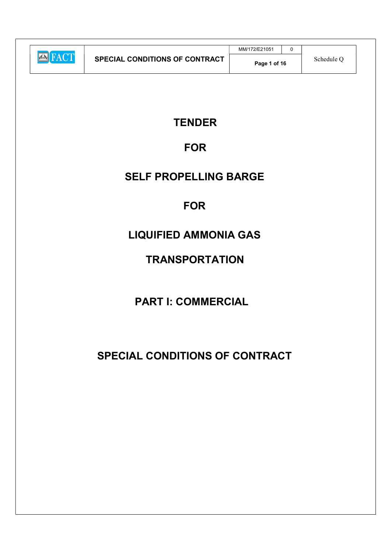|                |                                       | MM/172/E21051 |            |
|----------------|---------------------------------------|---------------|------------|
| <b>EN FACT</b> | <b>SPECIAL CONDITIONS OF CONTRACT</b> | Page 1 of 16  | Schedule O |

# **TENDER**

# FOR

# SELF PROPELLING BARGE

# **FOR**

# LIQUIFIED AMMONIA GAS

# **TRANSPORTATION**

# PART I: COMMERCIAL

# SPECIAL CONDITIONS OF CONTRACT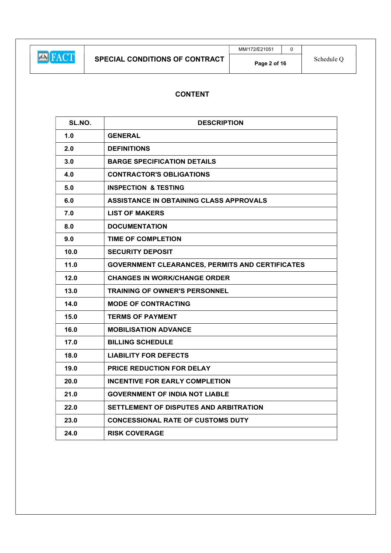MM/172/E21051 0

# CONTENT

| SL.NO. | <b>DESCRIPTION</b>                                     |  |  |  |
|--------|--------------------------------------------------------|--|--|--|
| 1.0    | <b>GENERAL</b>                                         |  |  |  |
| 2.0    | <b>DEFINITIONS</b>                                     |  |  |  |
| 3.0    | <b>BARGE SPECIFICATION DETAILS</b>                     |  |  |  |
| 4.0    | <b>CONTRACTOR'S OBLIGATIONS</b>                        |  |  |  |
| 5.0    | <b>INSPECTION &amp; TESTING</b>                        |  |  |  |
| 6.0    | ASSISTANCE IN OBTAINING CLASS APPROVALS                |  |  |  |
| 7.0    | <b>LIST OF MAKERS</b>                                  |  |  |  |
| 8.0    | <b>DOCUMENTATION</b>                                   |  |  |  |
| 9.0    | <b>TIME OF COMPLETION</b>                              |  |  |  |
| 10.0   | <b>SECURITY DEPOSIT</b>                                |  |  |  |
| 11.0   | <b>GOVERNMENT CLEARANCES, PERMITS AND CERTIFICATES</b> |  |  |  |
| 12.0   | <b>CHANGES IN WORK/CHANGE ORDER</b>                    |  |  |  |
| 13.0   | <b>TRAINING OF OWNER'S PERSONNEL</b>                   |  |  |  |
| 14.0   | <b>MODE OF CONTRACTING</b>                             |  |  |  |
| 15.0   | <b>TERMS OF PAYMENT</b>                                |  |  |  |
| 16.0   | <b>MOBILISATION ADVANCE</b>                            |  |  |  |
| 17.0   | <b>BILLING SCHEDULE</b>                                |  |  |  |
| 18.0   | <b>LIABILITY FOR DEFECTS</b>                           |  |  |  |
| 19.0   | <b>PRICE REDUCTION FOR DELAY</b>                       |  |  |  |
| 20.0   | <b>INCENTIVE FOR EARLY COMPLETION</b>                  |  |  |  |
| 21.0   | <b>GOVERNMENT OF INDIA NOT LIABLE</b>                  |  |  |  |
| 22.0   | SETTLEMENT OF DISPUTES AND ARBITRATION                 |  |  |  |
| 23.0   | <b>CONCESSIONAL RATE OF CUSTOMS DUTY</b>               |  |  |  |
| 24.0   | <b>RISK COVERAGE</b>                                   |  |  |  |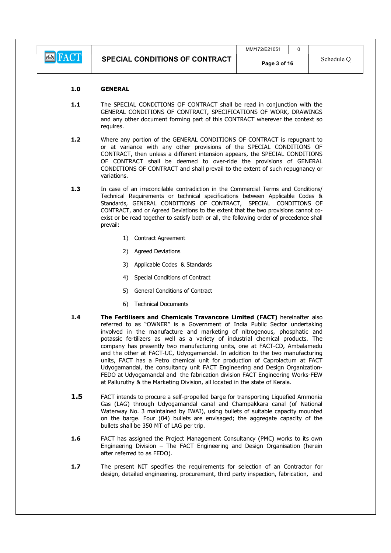**E** FACT

### 1.0 GENERAL

- 1.1 The SPECIAL CONDITIONS OF CONTRACT shall be read in conjunction with the GENERAL CONDITIONS OF CONTRACT, SPECIFICATIONS OF WORK, DRAWINGS and any other document forming part of this CONTRACT wherever the context so requires.
- 1.2 Where any portion of the GENERAL CONDITIONS OF CONTRACT is repugnant to or at variance with any other provisions of the SPECIAL CONDITIONS OF CONTRACT, then unless a different intension appears, the SPECIAL CONDITIONS OF CONTRACT shall be deemed to over-ride the provisions of GENERAL CONDITIONS OF CONTRACT and shall prevail to the extent of such repugnancy or variations.
- 1.3 In case of an irreconcilable contradiction in the Commercial Terms and Conditions/ Technical Requirements or technical specifications between Applicable Codes & Standards, GENERAL CONDITIONS OF CONTRACT, SPECIAL CONDITIONS OF CONTRACT, and or Agreed Deviations to the extent that the two provisions cannot coexist or be read together to satisfy both or all, the following order of precedence shall prevail:
	- 1) Contract Agreement
	- 2) Agreed Deviations
	- 3) Applicable Codes & Standards
	- 4) Special Conditions of Contract
	- 5) General Conditions of Contract
	- 6) Technical Documents
- 1.4 The Fertilisers and Chemicals Travancore Limited (FACT) hereinafter also referred to as "OWNER" is a Government of India Public Sector undertaking involved in the manufacture and marketing of nitrogenous, phosphatic and potassic fertilizers as well as a variety of industrial chemical products. The company has presently two manufacturing units, one at FACT-CD, Ambalamedu and the other at FACT-UC, Udyogamandal. In addition to the two manufacturing units, FACT has a Petro chemical unit for production of Caprolactum at FACT Udyogamandal, the consultancy unit FACT Engineering and Design Organization-FEDO at Udyogamandal and the fabrication division FACT Engineering Works-FEW at Palluruthy & the Marketing Division, all located in the state of Kerala.
- **1.5** FACT intends to procure a self-propelled barge for transporting Liquefied Ammonia Gas (LAG) through Udyogamandal canal and Champakkara canal (of National Waterway No. 3 maintained by IWAI), using bullets of suitable capacity mounted on the barge. Four (04) bullets are envisaged; the aggregate capacity of the bullets shall be 350 MT of LAG per trip.
- **1.6** FACT has assigned the Project Management Consultancy (PMC) works to its own Engineering Division – The FACT Engineering and Design Organisation (herein after referred to as FEDO).
- 1.7 The present NIT specifies the requirements for selection of an Contractor for design, detailed engineering, procurement, third party inspection, fabrication, and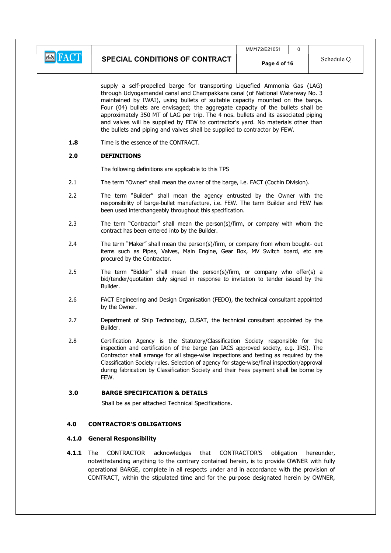

supply a self-propelled barge for transporting Liquefied Ammonia Gas (LAG) through Udyogamandal canal and Champakkara canal (of National Waterway No. 3 maintained by IWAI), using bullets of suitable capacity mounted on the barge. Four (04) bullets are envisaged; the aggregate capacity of the bullets shall be approximately 350 MT of LAG per trip. The 4 nos. bullets and its associated piping and valves will be supplied by FEW to contractor's yard. No materials other than the bullets and piping and valves shall be supplied to contractor by FEW.

1.8 Time is the essence of the CONTRACT.

# 2.0 DEFINITIONS

The following definitions are applicable to this TPS

- 2.1 The term "Owner" shall mean the owner of the barge, i.e. FACT (Cochin Division).
- 2.2 The term "Builder" shall mean the agency entrusted by the Owner with the responsibility of barge-bullet manufacture, i.e. FEW. The term Builder and FEW has been used interchangeably throughout this specification.
- 2.3 The term "Contractor" shall mean the person(s)/firm, or company with whom the contract has been entered into by the Builder.
- 2.4 The term "Maker" shall mean the person(s)/firm, or company from whom bought- out items such as Pipes, Valves, Main Engine, Gear Box, MV Switch board, etc are procured by the Contractor.
- 2.5 The term "Bidder" shall mean the person(s)/firm, or company who offer(s) a bid/tender/quotation duly signed in response to invitation to tender issued by the Builder.
- 2.6 FACT Engineering and Design Organisation (FEDO), the technical consultant appointed by the Owner.
- 2.7 Department of Ship Technology, CUSAT, the technical consultant appointed by the Builder.
- 2.8 Certification Agency is the Statutory/Classification Society responsible for the inspection and certification of the barge (an IACS approved society, e.g. IRS). The Contractor shall arrange for all stage-wise inspections and testing as required by the Classification Society rules. Selection of agency for stage-wise/final inspection/approval during fabrication by Classification Society and their Fees payment shall be borne by **FFW**

### 3.0 BARGE SPECIFICATION & DETAILS

Shall be as per attached Technical Specifications.

# 4.0 CONTRACTOR'S OBLIGATIONS

#### 4.1.0 General Responsibility

**4.1.1** The CONTRACTOR acknowledges that CONTRACTOR'S obligation hereunder, notwithstanding anything to the contrary contained herein, is to provide OWNER with fully operational BARGE, complete in all respects under and in accordance with the provision of CONTRACT, within the stipulated time and for the purpose designated herein by OWNER,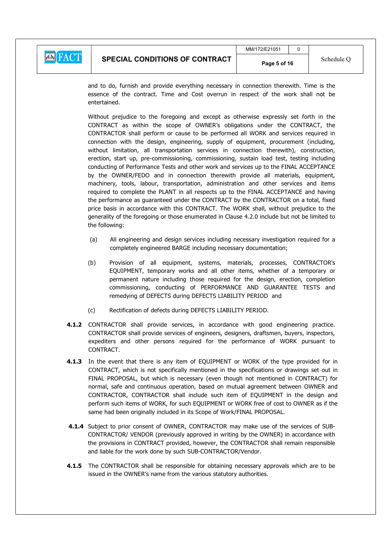

and to do, furnish and provide everything necessary in connection therewith. Time is the essence of the contract. Time and Cost overrun in respect of the work shall not be entertained.

Without prejudice to the foregoing and except as otherwise expressly set forth in the CONTRACT as within the scope of OWNER's obligations under the CONTRACT, the CONTRACTOR shall perform or cause to be performed all WORK and services required in connection with the design, engineering, supply of equipment, procurement (including, without limitation, all transportation services in connection therewith), construction, erection, start up, pre-commissioning, commissioning, sustain load test, testing including conducting of Performance Tests and other work and services up to the FINAL ACCEPTANCE by the OWNER/FEDO and in connection therewith provide all materials, equipment, machinery, tools, labour, transportation, administration and other services and items required to complete the PLANT in all respects up to the FINAL ACCEPTANCE and having the performance as guaranteed under the CONTRACT by the CONTRACTOR on a total, fixed price basis in accordance with this CONTRACT. The WORK shall, without prejudice to the generality of the foregoing or those enumerated in Clause 4.2.0 include but not be limited to the following:

- (a) All engineering and design services including necessary investigation required for a completely engineered BARGE including necessary documentation;
- (b) Provision of all equipment, systems, materials, processes, CONTRACTOR's EQUIPMENT, temporary works and all other items, whether of a temporary or permanent nature including those required for the design, erection, completion commissioning, conducting of PERFORMANCE AND GUARANTEE TESTS and remedying of DEFECTS during DEFECTS LIABILITY PERIOD and
- (c) Rectification of defects during DEFECTS LIABILITY PERIOD.
- 4.1.2 CONTRACTOR shall provide services, in accordance with good engineering practice. CONTRACTOR shall provide services of engineers, designers, draftsmen, buyers, inspectors, expediters and other persons required for the performance of WORK pursuant to CONTRACT.
- 4.1.3 In the event that there is any item of EQUIPMENT or WORK of the type provided for in CONTRACT, which is not specifically mentioned in the specifications or drawings set out in FINAL PROPOSAL, but which is necessary (even though not mentioned in CONTRACT) for normal, safe and continuous operation, based on mutual agreement between OWNER and CONTRACTOR, CONTRACTOR shall include such item of EQUIPMENT in the design and perform such items of WORK, for such EQUIPMENT or WORK free of cost to OWNER as if the same had been originally included in its Scope of Work/FINAL PROPOSAL.
- 4.1.4 Subject to prior consent of OWNER, CONTRACTOR may make use of the services of SUB-CONTRACTOR/ VENDOR (previously approved in writing by the OWNER) in accordance with the provisions in CONTRACT provided, however, the CONTRACTOR shall remain responsible and liable for the work done by such SUB-CONTRACTOR/Vendor.
- 4.1.5 The CONTRACTOR shall be responsible for obtaining necessary approvals which are to be issued in the OWNER's name from the various statutory authorities.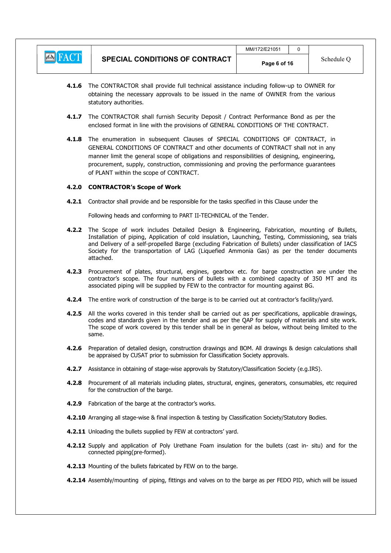

- 4.1.6 The CONTRACTOR shall provide full technical assistance including follow-up to OWNER for obtaining the necessary approvals to be issued in the name of OWNER from the various statutory authorities.
- 4.1.7 The CONTRACTOR shall furnish Security Deposit / Contract Performance Bond as per the enclosed format in line with the provisions of GENERAL CONDITIONS OF THE CONTRACT.
- 4.1.8 The enumeration in subsequent Clauses of SPECIAL CONDITIONS OF CONTRACT, in GENERAL CONDITIONS OF CONTRACT and other documents of CONTRACT shall not in any manner limit the general scope of obligations and responsibilities of designing, engineering, procurement, supply, construction, commissioning and proving the performance guarantees of PLANT within the scope of CONTRACT.

### 4.2.0 CONTRACTOR's Scope of Work

4.2.1 Contractor shall provide and be responsible for the tasks specified in this Clause under the

Following heads and conforming to PART II-TECHNICAL of the Tender.

- 4.2.2 The Scope of work includes Detailed Design & Engineering, Fabrication, mounting of Bullets, Installation of piping, Application of cold insulation, Launching, Testing, Commissioning, sea trials and Delivery of a self-propelled Barge (excluding Fabrication of Bullets) under classification of IACS Society for the transportation of LAG (Liquefied Ammonia Gas) as per the tender documents attached.
- 4.2.3 Procurement of plates, structural, engines, gearbox etc. for barge construction are under the contractor's scope. The four numbers of bullets with a combined capacity of 350 MT and its associated piping will be supplied by FEW to the contractor for mounting against BG.
- 4.2.4 The entire work of construction of the barge is to be carried out at contractor's facility/yard.
- 4.2.5 All the works covered in this tender shall be carried out as per specifications, applicable drawings, codes and standards given in the tender and as per the QAP for supply of materials and site work. The scope of work covered by this tender shall be in general as below, without being limited to the same.
- 4.2.6 Preparation of detailed design, construction drawings and BOM. All drawings & design calculations shall be appraised by CUSAT prior to submission for Classification Society approvals.
- 4.2.7 Assistance in obtaining of stage-wise approvals by Statutory/Classification Society (e.g.IRS).
- 4.2.8 Procurement of all materials including plates, structural, engines, generators, consumables, etc required for the construction of the barge.
- 4.2.9 Fabrication of the barge at the contractor's works.
- 4.2.10 Arranging all stage-wise & final inspection & testing by Classification Society/Statutory Bodies.
- 4.2.11 Unloading the bullets supplied by FEW at contractors' yard.
- 4.2.12 Supply and application of Poly Urethane Foam insulation for the bullets (cast in- situ) and for the connected piping(pre-formed).
- 4.2.13 Mounting of the bullets fabricated by FEW on to the barge.
- 4.2.14 Assembly/mounting of piping, fittings and valves on to the barge as per FEDO PID, which will be issued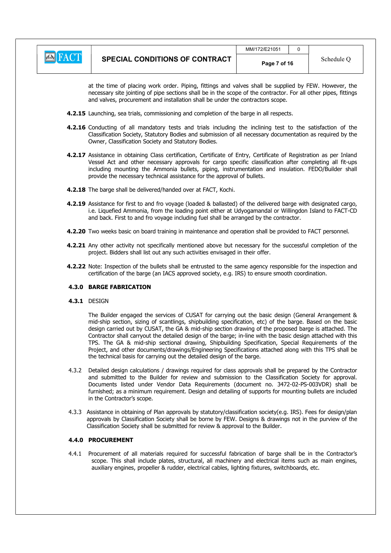|                                | MM/172/E21051 |            |
|--------------------------------|---------------|------------|
| SPECIAL CONDITIONS OF CONTRACT | Page 7 of 16  | Schedule C |

at the time of placing work order. Piping, fittings and valves shall be supplied by FEW. However, the necessary site jointing of pipe sections shall be in the scope of the contractor. For all other pipes, fittings and valves, procurement and installation shall be under the contractors scope.

- 4.2.15 Launching, sea trials, commissioning and completion of the barge in all respects.
- 4.2.16 Conducting of all mandatory tests and trials including the inclining test to the satisfaction of the Classification Society, Statutory Bodies and submission of all necessary documentation as required by the Owner, Classification Society and Statutory Bodies.
- 4.2.17 Assistance in obtaining Class certification, Certificate of Entry, Certificate of Registration as per Inland Vessel Act and other necessary approvals for cargo specific classification after completing all fit-ups including mounting the Ammonia bullets, piping, instrumentation and insulation. FEDO/Builder shall provide the necessary technical assistance for the approval of bullets.
- 4.2.18 The barge shall be delivered/handed over at FACT, Kochi.
- 4.2.19 Assistance for first to and fro voyage (loaded & ballasted) of the delivered barge with designated cargo, i.e. Liquefied Ammonia, from the loading point either at Udyogamandal or Willingdon Island to FACT-CD and back. First to and fro voyage including fuel shall be arranged by the contractor.
- 4.2.20 Two weeks basic on board training in maintenance and operation shall be provided to FACT personnel.
- 4.2.21 Any other activity not specifically mentioned above but necessary for the successful completion of the project. Bidders shall list out any such activities envisaged in their offer.
- 4.2.22 Note: Inspection of the bullets shall be entrusted to the same agency responsible for the inspection and certification of the barge (an IACS approved society, e.g. IRS) to ensure smooth coordination.

#### 4.3.0 BARGE FABRICATION

**4.3.1 DESIGN** 

The Builder engaged the services of CUSAT for carrying out the basic design (General Arrangement & mid-ship section, sizing of scantlings, shipbuilding specification, etc) of the barge. Based on the basic design carried out by CUSAT, the GA & mid-ship section drawing of the proposed barge is attached. The Contractor shall carryout the detailed design of the barge; in-line with the basic design attached with this TPS. The GA & mid-ship sectional drawing, Shipbuilding Specification, Special Requirements of the Project, and other documents/drawings/Engineering Specifications attached along with this TPS shall be the technical basis for carrying out the detailed design of the barge.

- 4.3.2 Detailed design calculations / drawings required for class approvals shall be prepared by the Contractor and submitted to the Builder for review and submission to the Classification Society for approval. Documents listed under Vendor Data Requirements (document no. 3472-02-PS-003VDR) shall be furnished; as a minimum requirement. Design and detailing of supports for mounting bullets are included in the Contractor's scope.
- 4.3.3 Assistance in obtaining of Plan approvals by statutory/classification society(e.g. IRS). Fees for design/plan approvals by Classification Society shall be borne by FEW. Designs & drawings not in the purview of the Classification Society shall be submitted for review & approval to the Builder.

#### 4.4.0 PROCUREMENT

4.4.1 Procurement of all materials required for successful fabrication of barge shall be in the Contractor's scope. This shall include plates, structural, all machinery and electrical items such as main engines, auxiliary engines, propeller & rudder, electrical cables, lighting fixtures, switchboards, etc.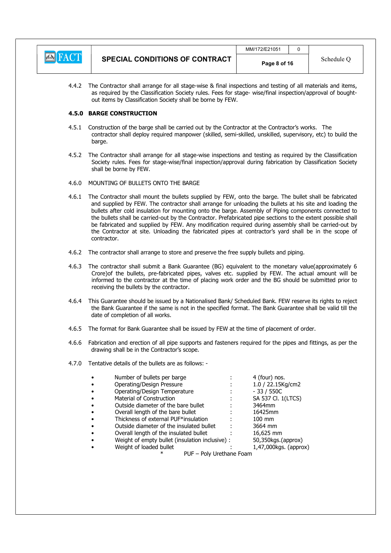|                |                                       | MM/172/E21051 |            |
|----------------|---------------------------------------|---------------|------------|
| <b>EN FACT</b> | <b>SPECIAL CONDITIONS OF CONTRACT</b> | Page 8 of 16  | Schedule C |

4.4.2 The Contractor shall arrange for all stage-wise & final inspections and testing of all materials and items, as required by the Classification Society rules. Fees for stage- wise/final inspection/approval of boughtout items by Classification Society shall be borne by FEW.

## 4.5.0 BARGE CONSTRUCTION

- 4.5.1 Construction of the barge shall be carried out by the Contractor at the Contractor's works. The contractor shall deploy required manpower (skilled, semi-skilled, unskilled, supervisory, etc) to build the barge.
- 4.5.2 The Contractor shall arrange for all stage-wise inspections and testing as required by the Classification Society rules. Fees for stage-wise/final inspection/approval during fabrication by Classification Society shall be borne by FEW.
- 4.6.0 MOUNTING OF BULLETS ONTO THE BARGE
- 4.6.1 The Contractor shall mount the bullets supplied by FEW, onto the barge. The bullet shall be fabricated and supplied by FEW. The contractor shall arrange for unloading the bullets at his site and loading the bullets after cold insulation for mounting onto the barge. Assembly of Piping components connected to the bullets shall be carried-out by the Contractor. Prefabricated pipe sections to the extent possible shall be fabricated and supplied by FEW. Any modification required during assembly shall be carried-out by the Contractor at site. Unloading the fabricated pipes at contractor's yard shall be in the scope of contractor.
- 4.6.2 The contractor shall arrange to store and preserve the free supply bullets and piping.
- 4.6.3 The contractor shall submit a Bank Guarantee (BG) equivalent to the monetary value(approximately 6 Crore)of the bullets, pre-fabricated pipes, valves etc. supplied by FEW. The actual amount will be informed to the contractor at the time of placing work order and the BG should be submitted prior to receiving the bullets by the contractor.
- 4.6.4 This Guarantee should be issued by a Nationalised Bank/ Scheduled Bank. FEW reserve its rights to reject the Bank Guarantee if the same is not in the specified format. The Bank Guarantee shall be valid till the date of completion of all works.
- 4.6.5 The format for Bank Guarantee shall be issued by FEW at the time of placement of order.
- 4.6.6 Fabrication and erection of all pipe supports and fasteners required for the pipes and fittings, as per the drawing shall be in the Contractor's scope.
- 4.7.0 Tentative details of the bullets are as follows: -

| $\bullet$ | Number of bullets per barge                     | 4 (four) nos.         |
|-----------|-------------------------------------------------|-----------------------|
| $\bullet$ | Operating/Design Pressure                       | 1.0 / 22.15Kg/cm2     |
|           | Operating/Design Temperature                    | $-33/550C$            |
|           | Material of Construction                        | SA 537 Cl. 1(LTCS)    |
|           | Outside diameter of the bare bullet             | 3464mm                |
| $\bullet$ | Overall length of the bare bullet               | 16425mm               |
|           | Thickness of external PUF*insulation            | $100 \text{ mm}$      |
|           | Outside diameter of the insulated bullet        | 3664 mm               |
|           | Overall length of the insulated bullet          | 16,625 mm             |
|           | Weight of empty bullet (insulation inclusive) : | 50,350kgs.(approx)    |
|           | Weight of loaded bullet                         | 1,47,000kgs. (approx) |
|           | PUF - Poly Urethane Foam<br>∗                   |                       |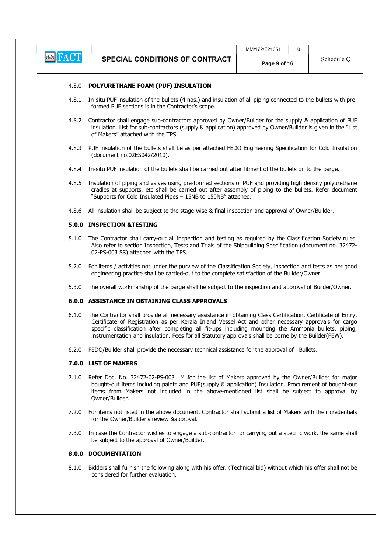

### 4.8.0 POLYURETHANE FOAM (PUF) INSULATION

- 4.8.1 In-situ PUF insulation of the bullets (4 nos.) and insulation of all piping connected to the bullets with preformed PUF sections is in the Contractor's scope.
- 4.8.2 Contractor shall engage sub-contractors approved by Owner/Builder for the supply & application of PUF insulation. List for sub-contractors (supply & application) approved by Owner/Builder is given in the "List of Makers" attached with the TPS
- 4.8.3 PUF insulation of the bullets shall be as per attached FEDO Engineering Specification for Cold Insulation (document no.02ES042/2010).
- 4.8.4 In-situ PUF insulation of the bullets shall be carried out after fitment of the bullets on to the barge.
- 4.8.5 Insulation of piping and valves using pre-formed sections of PUF and providing high density polyurethane cradles at supports, etc shall be carried out after assembly of piping to the bullets. Refer document "Supports for Cold Insulated Pipes – 15NB to 150NB" attached.
- 4.8.6 All insulation shall be subject to the stage-wise & final inspection and approval of Owner/Builder.

#### 5.0.0 INSPECTION &TESTING

- 5.1.0 The Contractor shall carry-out all inspection and testing as required by the Classification Society rules. Also refer to section Inspection, Tests and Trials of the Shipbuilding Specification (document no. 32472- 02-PS-003 SS) attached with the TPS.
- 5.2.0 For items / activities not under the purview of the Classification Society, inspection and tests as per good engineering practice shall be carried-out to the complete satisfaction of the Builder/Owner.
- 5.3.0 The overall workmanship of the barge shall be subject to the inspection and approval of Builder/Owner.

### 6.0.0 ASSISTANCE IN OBTAINING CLASS APPROVALS

- 6.1.0 The Contractor shall provide all necessary assistance in obtaining Class Certification, Certificate of Entry, Certificate of Registration as per Kerala Inland Vessel Act and other necessary approvals for cargo specific classification after completing all fit-ups including mounting the Ammonia bullets, piping, instrumentation and insulation. Fees for all Statutory approvals shall be borne by the Builder(FEW).
- 6.2.0 FEDO/Builder shall provide the necessary technical assistance for the approval of Bullets.

#### 7.0.0 LIST OF MAKERS

- 7.1.0 Refer Doc. No. 32472-02-PS-003 LM for the list of Makers approved by the Owner/Builder for major bought-out items including paints and PUF(supply & application) Insulation. Procurement of bought-out items from Makers not included in the above-mentioned list shall be subject to approval by Owner/Builder.
- 7.2.0 For items not listed in the above document, Contractor shall submit a list of Makers with their credentials for the Owner/Builder's review &approval.
- 7.3.0 In case the Contractor wishes to engage a sub-contractor for carrying out a specific work, the same shall be subject to the approval of Owner/Builder.

### 8.0.0 DOCUMENTATION

8.1.0 Bidders shall furnish the following along with his offer. (Technical bid) without which his offer shall not be considered for further evaluation.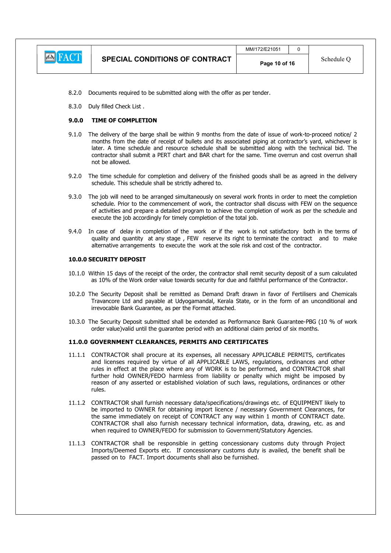

- 8.2.0 Documents required to be submitted along with the offer as per tender.
- 8.3.0 Duly filled Check List .

### 9.0.0 TIME OF COMPLETION

- 9.1.0 The delivery of the barge shall be within 9 months from the date of issue of work-to-proceed notice/ 2 months from the date of receipt of bullets and its associated piping at contractor's yard, whichever is later. A time schedule and resource schedule shall be submitted along with the technical bid. The contractor shall submit a PERT chart and BAR chart for the same. Time overrun and cost overrun shall not be allowed.
- 9.2.0 The time schedule for completion and delivery of the finished goods shall be as agreed in the delivery schedule. This schedule shall be strictly adhered to.
- 9.3.0 The job will need to be arranged simultaneously on several work fronts in order to meet the completion schedule. Prior to the commencement of work, the contractor shall discuss with FEW on the sequence of activities and prepare a detailed program to achieve the completion of work as per the schedule and execute the job accordingly for timely completion of the total job.
- 9.4.0 In case of delay in completion of the work or if the work is not satisfactory both in the terms of quality and quantity at any stage , FEW reserve its right to terminate the contract and to make alternative arrangements to execute the work at the sole risk and cost of the contractor.

#### 10.0.0 SECURITY DEPOSIT

- 10.1.0 Within 15 days of the receipt of the order, the contractor shall remit security deposit of a sum calculated as 10% of the Work order value towards security for due and faithful performance of the Contractor.
- 10.2.0 The Security Deposit shall be remitted as Demand Draft drawn in favor of Fertilisers and Chemicals Travancore Ltd and payable at Udyogamandal, Kerala State, or in the form of an unconditional and irrevocable Bank Guarantee, as per the Format attached.
- 10.3.0 The Security Deposit submitted shall be extended as Performance Bank Guarantee-PBG (10 % of work order value)valid until the guarantee period with an additional claim period of six months.

#### 11.0.0 GOVERNMENT CLEARANCES, PERMITS AND CERTIFICATES

- 11.1.1 CONTRACTOR shall procure at its expenses, all necessary APPLICABLE PERMITS, certificates and licenses required by virtue of all APPLICABLE LAWS, regulations, ordinances and other rules in effect at the place where any of WORK is to be performed, and CONTRACTOR shall further hold OWNER/FEDO harmless from liability or penalty which might be imposed by reason of any asserted or established violation of such laws, regulations, ordinances or other rules.
- 11.1.2 CONTRACTOR shall furnish necessary data/specifications/drawings etc. of EQUIPMENT likely to be imported to OWNER for obtaining import licence / necessary Government Clearances, for the same immediately on receipt of CONTRACT any way within 1 month of CONTRACT date. CONTRACTOR shall also furnish necessary technical information, data, drawing, etc. as and when required to OWNER/FEDO for submission to Government/Statutory Agencies.
- 11.1.3 CONTRACTOR shall be responsible in getting concessionary customs duty through Project Imports/Deemed Exports etc. If concessionary customs duty is availed, the benefit shall be passed on to FACT. Import documents shall also be furnished.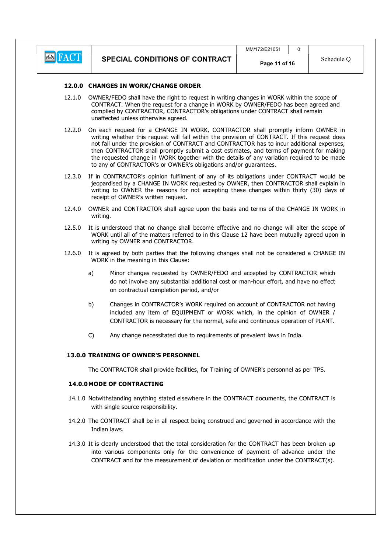

### 12.0.0 CHANGES IN WORK/CHANGE ORDER

- 12.1.0 OWNER/FEDO shall have the right to request in writing changes in WORK within the scope of CONTRACT. When the request for a change in WORK by OWNER/FEDO has been agreed and complied by CONTRACTOR, CONTRACTOR's obligations under CONTRACT shall remain unaffected unless otherwise agreed.
- 12.2.0 On each request for a CHANGE IN WORK, CONTRACTOR shall promptly inform OWNER in writing whether this request will fall within the provision of CONTRACT. If this request does not fall under the provision of CONTRACT and CONTRACTOR has to incur additional expenses, then CONTRACTOR shall promptly submit a cost estimates, and terms of payment for making the requested change in WORK together with the details of any variation required to be made to any of CONTRACTOR's or OWNER's obligations and/or guarantees.
- 12.3.0 If in CONTRACTOR's opinion fulfilment of any of its obligations under CONTRACT would be jeopardised by a CHANGE IN WORK requested by OWNER, then CONTRACTOR shall explain in writing to OWNER the reasons for not accepting these changes within thirty (30) days of receipt of OWNER's written request.
- 12.4.0 OWNER and CONTRACTOR shall agree upon the basis and terms of the CHANGE IN WORK in writing.
- 12.5.0 It is understood that no change shall become effective and no change will alter the scope of WORK until all of the matters referred to in this Clause 12 have been mutually agreed upon in writing by OWNER and CONTRACTOR.
- 12.6.0 It is agreed by both parties that the following changes shall not be considered a CHANGE IN WORK in the meaning in this Clause:
	- a) Minor changes requested by OWNER/FEDO and accepted by CONTRACTOR which do not involve any substantial additional cost or man-hour effort, and have no effect on contractual completion period, and/or
	- b) Changes in CONTRACTOR's WORK required on account of CONTRACTOR not having included any item of EQUIPMENT or WORK which, in the opinion of OWNER / CONTRACTOR is necessary for the normal, safe and continuous operation of PLANT.
	- C) Any change necessitated due to requirements of prevalent laws in India.

# 13.0.0 TRAINING OF OWNER'S PERSONNEL

The CONTRACTOR shall provide facilities, for Training of OWNER's personnel as per TPS.

# 14.0.0MODE OF CONTRACTING

- 14.1.0 Notwithstanding anything stated elsewhere in the CONTRACT documents, the CONTRACT is with single source responsibility.
- 14.2.0 The CONTRACT shall be in all respect being construed and governed in accordance with the Indian laws.
- 14.3.0 It is clearly understood that the total consideration for the CONTRACT has been broken up into various components only for the convenience of payment of advance under the CONTRACT and for the measurement of deviation or modification under the CONTRACT(s).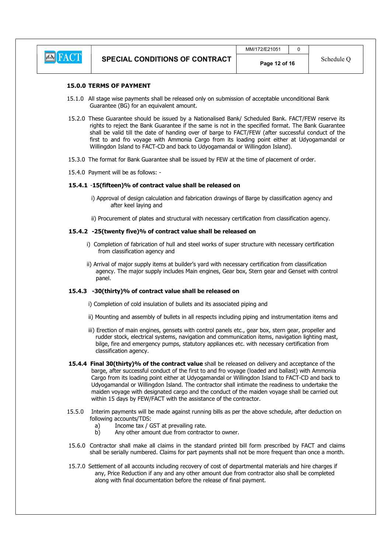

#### 15.0.0 TERMS OF PAYMENT

- 15.1.0 All stage wise payments shall be released only on submission of acceptable unconditional Bank Guarantee (BG) for an equivalent amount.
- 15.2.0 These Guarantee should be issued by a Nationalised Bank/ Scheduled Bank. FACT/FEW reserve its rights to reject the Bank Guarantee if the same is not in the specified format. The Bank Guarantee shall be valid till the date of handing over of barge to FACT/FEW (after successful conduct of the first to and fro voyage with Ammonia Cargo from its loading point either at Udyogamandal or Willingdon Island to FACT-CD and back to Udyogamandal or Willingdon Island).
- 15.3.0 The format for Bank Guarantee shall be issued by FEW at the time of placement of order.
- 15.4.0 Payment will be as follows: -

#### 15.4.1 -15(fifteen)% of contract value shall be released on

- i) Approval of design calculation and fabrication drawings of Barge by classification agency and after keel laying and
- ii) Procurement of plates and structural with necessary certification from classification agency.

#### 15.4.2 -25(twenty five)% of contract value shall be released on

- i) Completion of fabrication of hull and steel works of super structure with necessary certification from classification agency and
- ii) Arrival of major supply items at builder's yard with necessary certification from classification agency. The major supply includes Main engines, Gear box, Stern gear and Genset with control panel.

#### 15.4.3 -30(thirty)% of contract value shall be released on

- i) Completion of cold insulation of bullets and its associated piping and
- ii) Mounting and assembly of bullets in all respects including piping and instrumentation items and
- iii) Erection of main engines, gensets with control panels etc., gear box, stern gear, propeller and rudder stock, electrical systems, navigation and communication items, navigation lighting mast, bilge, fire and emergency pumps, statutory appliances etc. with necessary certification from classification agency.
- 15.4.4 Final 30(thirty)% of the contract value shall be released on delivery and acceptance of the barge, after successful conduct of the first to and fro voyage (loaded and ballast) with Ammonia Cargo from its loading point either at Udyogamandal or Willingdon Island to FACT-CD and back to Udyogamandal or Willingdon Island. The contractor shall intimate the readiness to undertake the maiden voyage with designated cargo and the conduct of the maiden voyage shall be carried out within 15 days by FEW/FACT with the assistance of the contractor.
- 15.5.0 Interim payments will be made against running bills as per the above schedule, after deduction on following accounts/TDS:
	- a) Income tax / GST at prevailing rate.
	- b) Any other amount due from contractor to owner.
- 15.6.0 Contractor shall make all claims in the standard printed bill form prescribed by FACT and claims shall be serially numbered. Claims for part payments shall not be more frequent than once a month.
- 15.7.0 Settlement of all accounts including recovery of cost of departmental materials and hire charges if any, Price Reduction if any and any other amount due from contractor also shall be completed along with final documentation before the release of final payment.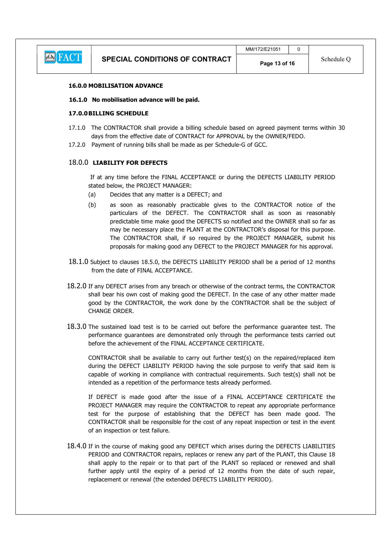

### 16.0.0 MOBILISATION ADVANCE

### 16.1.0 No mobilisation advance will be paid.

# 17.0.0 BILLING SCHEDULE

- 17.1.0 The CONTRACTOR shall provide a billing schedule based on agreed payment terms within 30 days from the effective date of CONTRACT for APPROVAL by the OWNER/FEDO.
- 17.2.0 Payment of running bills shall be made as per Schedule-G of GCC.

### 18.0.0 LIABILITY FOR DEFECTS

 If at any time before the FINAL ACCEPTANCE or during the DEFECTS LIABILITY PERIOD stated below, the PROJECT MANAGER:

- (a) Decides that any matter is a DEFECT; and
- (b) as soon as reasonably practicable gives to the CONTRACTOR notice of the particulars of the DEFECT. The CONTRACTOR shall as soon as reasonably predictable time make good the DEFECTS so notified and the OWNER shall so far as may be necessary place the PLANT at the CONTRACTOR's disposal for this purpose. The CONTRACTOR shall, if so required by the PROJECT MANAGER, submit his proposals for making good any DEFECT to the PROJECT MANAGER for his approval.
- 18.1.0 Subject to clauses 18.5.0, the DEFECTS LIABILITY PERIOD shall be a period of 12 months from the date of FINAL ACCEPTANCE.
- 18.2.0 If any DEFECT arises from any breach or otherwise of the contract terms, the CONTRACTOR shall bear his own cost of making good the DEFECT. In the case of any other matter made good by the CONTRACTOR, the work done by the CONTRACTOR shall be the subject of CHANGE ORDER.
- 18.3.0 The sustained load test is to be carried out before the performance guarantee test. The performance guarantees are demonstrated only through the performance tests carried out before the achievement of the FINAL ACCEPTANCE CERTIFICATE.

CONTRACTOR shall be available to carry out further test(s) on the repaired/replaced item during the DEFECT LIABILITY PERIOD having the sole purpose to verify that said item is capable of working in compliance with contractual requirements. Such test(s) shall not be intended as a repetition of the performance tests already performed.

If DEFECT is made good after the issue of a FINAL ACCEPTANCE CERTIFICATE the PROJECT MANAGER may require the CONTRACTOR to repeat any appropriate performance test for the purpose of establishing that the DEFECT has been made good. The CONTRACTOR shall be responsible for the cost of any repeat inspection or test in the event of an inspection or test failure.

18.4.0 If in the course of making good any DEFECT which arises during the DEFECTS LIABILITIES PERIOD and CONTRACTOR repairs, replaces or renew any part of the PLANT, this Clause 18 shall apply to the repair or to that part of the PLANT so replaced or renewed and shall further apply until the expiry of a period of 12 months from the date of such repair, replacement or renewal (the extended DEFECTS LIABILITY PERIOD).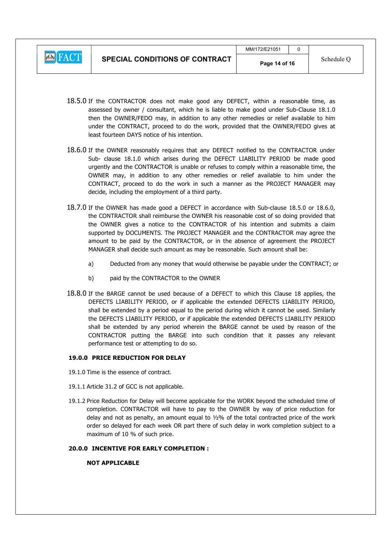

- 18.5.0 If the CONTRACTOR does not make good any DEFECT, within a reasonable time, as assessed by owner / consultant, which he is liable to make good under Sub-Clause 18.1.0 then the OWNER/FEDO may, in addition to any other remedies or relief available to him under the CONTRACT, proceed to do the work, provided that the OWNER/FEDO gives at least fourteen DAYS notice of his intention.
- 18.6.0 If the OWNER reasonably requires that any DEFECT notified to the CONTRACTOR under Sub- clause 18.1.0 which arises during the DEFECT LIABILITY PERIOD be made good urgently and the CONTRACTOR is unable or refuses to comply within a reasonable time, the OWNER may, in addition to any other remedies or relief available to him under the CONTRACT, proceed to do the work in such a manner as the PROJECT MANAGER may decide, including the employment of a third party.
- 18.7.0 If the OWNER has made good a DEFECT in accordance with Sub-clause 18.5.0 or 18.6.0, the CONTRACTOR shall reimburse the OWNER his reasonable cost of so doing provided that the OWNER gives a notice to the CONTRACTOR of his intention and submits a claim supported by DOCUMENTS. The PROJECT MANAGER and the CONTRACTOR may agree the amount to be paid by the CONTRACTOR, or in the absence of agreement the PROJECT MANAGER shall decide such amount as may be reasonable. Such amount shall be:
	- a) Deducted from any money that would otherwise be payable under the CONTRACT; or
	- b) paid by the CONTRACTOR to the OWNER
- 18.8.0 If the BARGE cannot be used because of a DEFECT to which this Clause 18 applies, the DEFECTS LIABILITY PERIOD, or if applicable the extended DEFECTS LIABILITY PERIOD, shall be extended by a period equal to the period during which it cannot be used. Similarly the DEFECTS LIABILITY PERIOD, or if applicable the extended DEFECTS LIABILITY PERIOD shall be extended by any period wherein the BARGE cannot be used by reason of the CONTRACTOR putting the BARGE into such condition that it passes any relevant performance test or attempting to do so.

# 19.0.0 PRICE REDUCTION FOR DELAY

- 19.1.0 Time is the essence of contract.
- 19.1.1 Article 31.2 of GCC is not applicable.
- 19.1.2 Price Reduction for Delay will become applicable for the WORK beyond the scheduled time of completion. CONTRACTOR will have to pay to the OWNER by way of price reduction for delay and not as penalty, an amount equal to  $1/2\%$  of the total contracted price of the work order so delayed for each week OR part there of such delay in work completion subject to a maximum of 10 % of such price.

# 20.0.0 INCENTIVE FOR EARLY COMPLETION :

# NOT APPLICABLE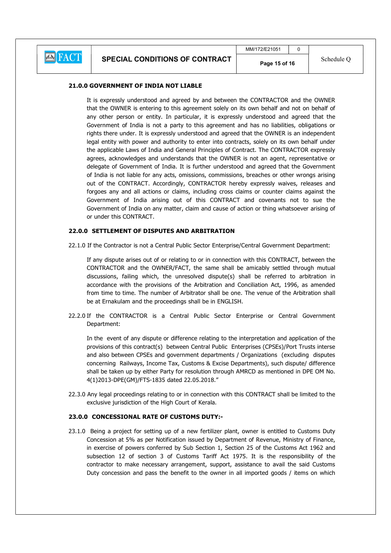# 21.0.0 GOVERNMENT OF INDIA NOT LIABLE

 It is expressly understood and agreed by and between the CONTRACTOR and the OWNER that the OWNER is entering to this agreement solely on its own behalf and not on behalf of any other person or entity. In particular, it is expressly understood and agreed that the Government of India is not a party to this agreement and has no liabilities, obligations or rights there under. It is expressly understood and agreed that the OWNER is an independent legal entity with power and authority to enter into contracts, solely on its own behalf under the applicable Laws of India and General Principles of Contract. The CONTRACTOR expressly agrees, acknowledges and understands that the OWNER is not an agent, representative or delegate of Government of India. It is further understood and agreed that the Government of India is not liable for any acts, omissions, commissions, breaches or other wrongs arising out of the CONTRACT. Accordingly, CONTRACTOR hereby expressly waives, releases and forgoes any and all actions or claims, including cross claims or counter claims against the Government of India arising out of this CONTRACT and covenants not to sue the Government of India on any matter, claim and cause of action or thing whatsoever arising of or under this CONTRACT.

# 22.0.0 SETTLEMENT OF DISPUTES AND ARBITRATION

22.1.0 If the Contractor is not a Central Public Sector Enterprise/Central Government Department:

 If any dispute arises out of or relating to or in connection with this CONTRACT, between the CONTRACTOR and the OWNER/FACT, the same shall be amicably settled through mutual discussions, failing which, the unresolved dispute(s) shall be referred to arbitration in accordance with the provisions of the Arbitration and Conciliation Act, 1996, as amended from time to time. The number of Arbitrator shall be one. The venue of the Arbitration shall be at Ernakulam and the proceedings shall be in ENGLISH.

22.2.0 If the CONTRACTOR is a Central Public Sector Enterprise or Central Government Department:

 In the event of any dispute or difference relating to the interpretation and application of the provisions of this contract(s) between Central Public Enterprises (CPSEs)/Port Trusts interse and also between CPSEs and government departments / Organizations (excluding disputes concerning Railways, Income Tax, Customs & Excise Departments), such dispute/ difference shall be taken up by either Party for resolution through AMRCD as mentioned in DPE OM No. 4(1)2013-DPE(GM)/FTS-1835 dated 22.05.2018."

22.3.0 Any legal proceedings relating to or in connection with this CONTRACT shall be limited to the exclusive jurisdiction of the High Court of Kerala.

# 23.0.0 CONCESSIONAL RATE OF CUSTOMS DUTY:-

23.1.0 Being a project for setting up of a new fertilizer plant, owner is entitled to Customs Duty Concession at 5% as per Notification issued by Department of Revenue, Ministry of Finance, in exercise of powers conferred by Sub Section 1, Section 25 of the Customs Act 1962 and subsection 12 of section 3 of Customs Tariff Act 1975. It is the responsibility of the contractor to make necessary arrangement, support, assistance to avail the said Customs Duty concession and pass the benefit to the owner in all imported goods / items on which